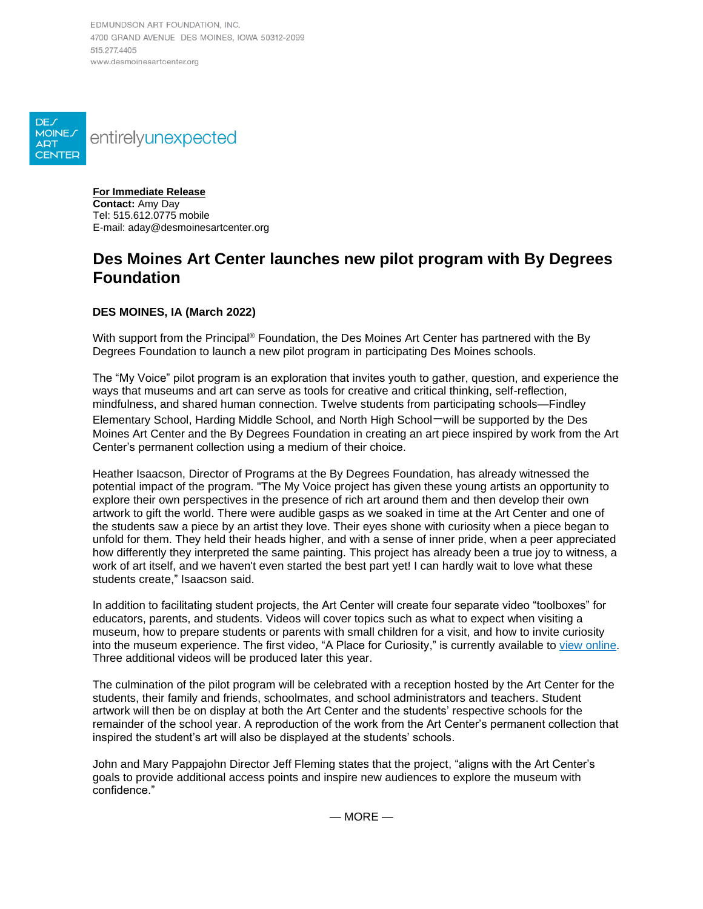EDMUNDSON ART FOUNDATION, INC. 4700 GRAND AVENUE DES MOINES, IOWA 50312-2099 515 277 4405 www.desmoinesartcenter.org



**For Immediate Release Contact:** Amy Day Tel: 515.612.0775 mobile E-mail: aday@desmoinesartcenter.org

# **Des Moines Art Center launches new pilot program with By Degrees Foundation**

# **DES MOINES, IA (March 2022)**

With support from the Principal® Foundation, the Des Moines Art Center has partnered with the By Degrees Foundation to launch a new pilot program in participating Des Moines schools.

The "My Voice" pilot program is an exploration that invites youth to gather, question, and experience the ways that museums and art can serve as tools for creative and critical thinking, self-reflection, mindfulness, and shared human connection. Twelve students from participating schools—Findley Elementary School, Harding Middle School, and North High School—will be supported by the Des Moines Art Center and the By Degrees Foundation in creating an art piece inspired by work from the Art Center's permanent collection using a medium of their choice.

Heather Isaacson, Director of Programs at the By Degrees Foundation, has already witnessed the potential impact of the program. "The My Voice project has given these young artists an opportunity to explore their own perspectives in the presence of rich art around them and then develop their own artwork to gift the world. There were audible gasps as we soaked in time at the Art Center and one of the students saw a piece by an artist they love. Their eyes shone with curiosity when a piece began to unfold for them. They held their heads higher, and with a sense of inner pride, when a peer appreciated how differently they interpreted the same painting. This project has already been a true joy to witness, a work of art itself, and we haven't even started the best part yet! I can hardly wait to love what these students create," Isaacson said.

In addition to facilitating student projects, the Art Center will create four separate video "toolboxes" for educators, parents, and students. Videos will cover topics such as what to expect when visiting a museum, how to prepare students or parents with small children for a visit, and how to invite curiosity into the museum experience. The first video, "A Place for Curiosity," is currently available to [view online.](https://youtu.be/eZUBeZqpCnc) Three additional videos will be produced later this year.

The culmination of the pilot program will be celebrated with a reception hosted by the Art Center for the students, their family and friends, schoolmates, and school administrators and teachers. Student artwork will then be on display at both the Art Center and the students' respective schools for the remainder of the school year. A reproduction of the work from the Art Center's permanent collection that inspired the student's art will also be displayed at the students' schools.

John and Mary Pappajohn Director Jeff Fleming states that the project, "aligns with the Art Center's goals to provide additional access points and inspire new audiences to explore the museum with confidence."